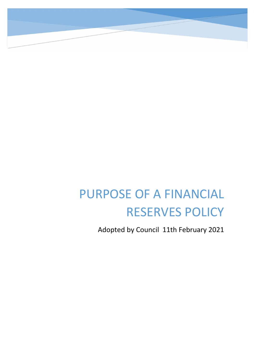# PURPOSE OF A FINANCIAL RESERVES POLICY

Adopted by Council 11th February 2021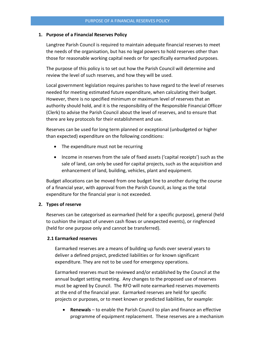#### 1. Purpose of a Financial Reserves Policy

Langtree Parish Council is required to maintain adequate financial reserves to meet the needs of the organisation, but has no legal powers to hold reserves other than those for reasonable working capital needs or for specifically earmarked purposes.

The purpose of this policy is to set out how the Parish Council will determine and review the level of such reserves, and how they will be used.

Local government legislation requires parishes to have regard to the level of reserves needed for meeting estimated future expenditure, when calculating their budget. However, there is no specified minimum or maximum level of reserves that an authority should hold, and it is the responsibility of the Responsible Financial Officer (Clerk) to advise the Parish Council about the level of reserves, and to ensure that there are key protocols for their establishment and use.

Reserves can be used for long term planned or exceptional (unbudgeted or higher than expected) expenditure on the following conditions:

- The expenditure must not be recurring
- Income in reserves from the sale of fixed assets ('capital receipts') such as the sale of land, can only be used for capital projects, such as the acquisition and enhancement of land, building, vehicles, plant and equipment.

Budget allocations can be moved from one budget line to another during the course of a financial year, with approval from the Parish Council, as long as the total expenditure for the financial year is not exceeded.

## 2. Types of reserve

Reserves can be categorised as earmarked (held for a specific purpose), general (held to cushion the impact of uneven cash flows or unexpected events), or ringfenced (held for one purpose only and cannot be transferred).

#### 2.1 Earmarked reserves

Earmarked reserves are a means of building up funds over several years to deliver a defined project, predicted liabilities or for known significant expenditure. They are not to be used for emergency operations.

Earmarked reserves must be reviewed and/or established by the Council at the annual budget setting meeting. Any changes to the proposed use of reserves must be agreed by Council. The RFO will note earmarked reserves movements at the end of the financial year. Earmarked reserves are held for specific projects or purposes, or to meet known or predicted liabilities, for example:

 Renewals – to enable the Parish Council to plan and finance an effective programme of equipment replacement. These reserves are a mechanism